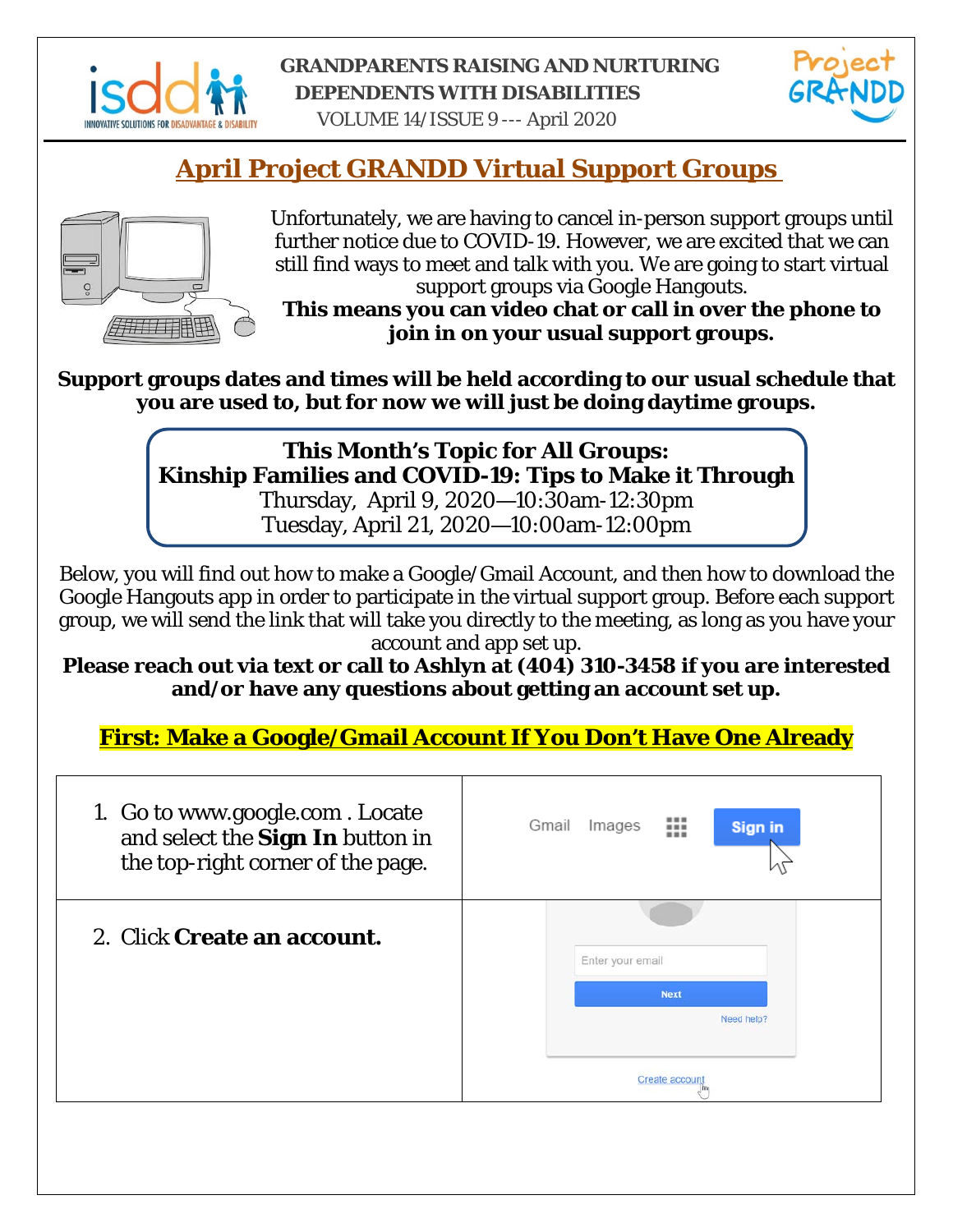

#### **GRANDPARENTS RAISING AND NURTURING DEPENDENTS WITH DISABILITIES**



VOLUME 14/ISSUE 9 --- April 2020

## **April Project GRANDD Virtual Support Groups**



Unfortunately, we are having to cancel in-person support groups until further notice due to COVID-19. However, we are excited that we can still find ways to meet and talk with you. We are going to start virtual support groups via Google Hangouts.

**This means you can video chat or call in over the phone to join in on your usual support groups.**

**Support groups dates and times will be held according to our usual schedule that you are used to, but for now we will just be doing daytime groups.** 

## **This Month's Topic for All Groups: Kinship Families and COVID-19: Tips to Make it Through**

Thursday, April 9, 2020—10:30am-12:30pm Tuesday, April 21, 2020—10:00am-12:00pm

Below, you will find out how to make a Google/Gmail Account, and then how to download the Google Hangouts app in order to participate in the virtual support group. Before each support group, we will send the link that will take you directly to the meeting, as long as you have your account and app set up.

**Please reach out via text or call to Ashlyn at (404) 310-3458 if you are interested and/or have any questions about getting an account set up.** 

**First: Make a Google/Gmail Account If You Don't Have One Already**

| 1. Go to www.google.com. Locate<br>and select the Sign In button in<br>the top-right corner of the page. | Gmail<br>Images<br><b>Sign in</b><br>ш |
|----------------------------------------------------------------------------------------------------------|----------------------------------------|
| 2. Click Create an account.                                                                              | Enter your email                       |
|                                                                                                          | <b>Next</b><br>Need help?              |
|                                                                                                          | Create accoun                          |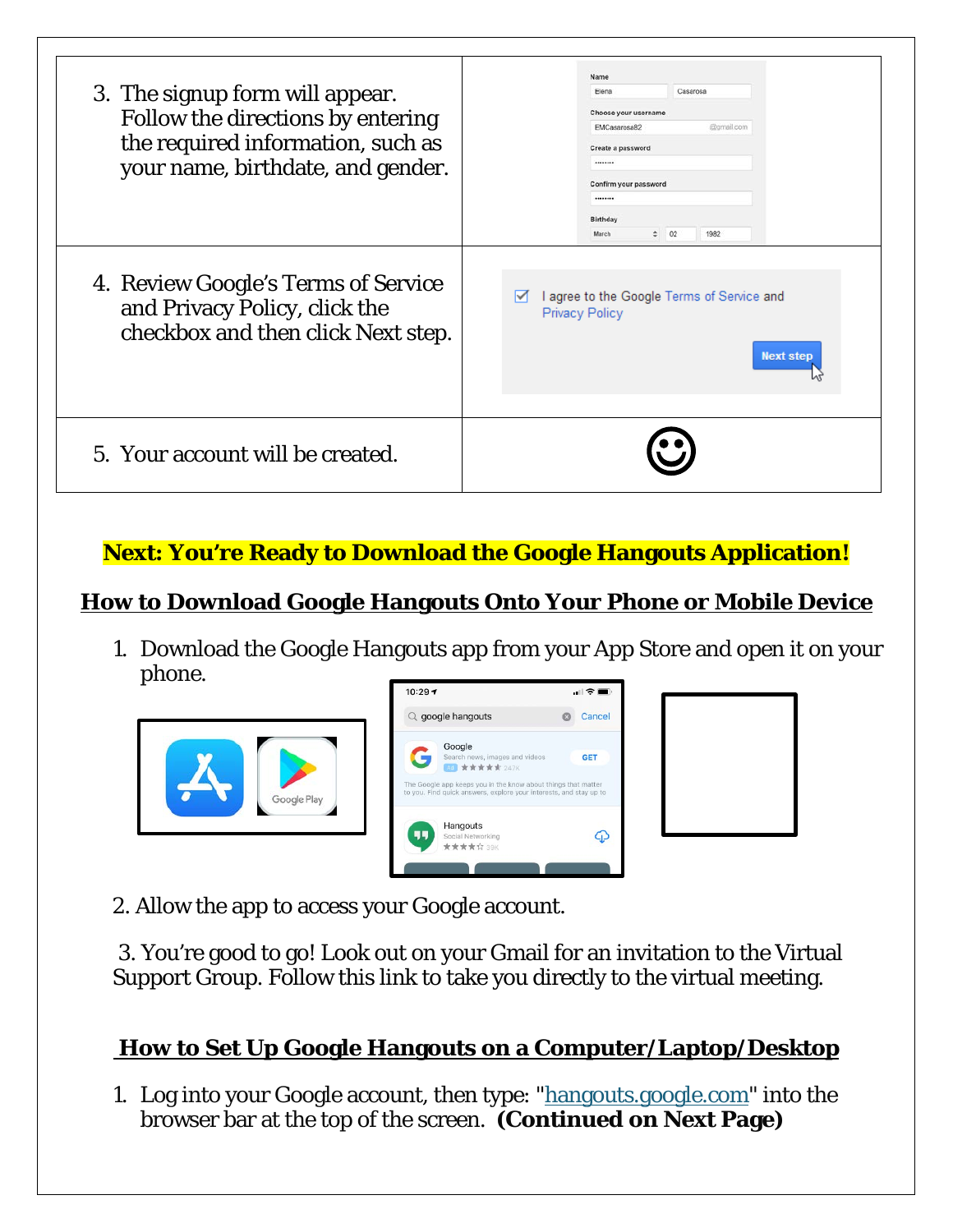| 5. Your account will be created.                                                                                                               |                                                                                                                                                                                                |
|------------------------------------------------------------------------------------------------------------------------------------------------|------------------------------------------------------------------------------------------------------------------------------------------------------------------------------------------------|
| 4. Review Google's Terms of Service<br>and Privacy Policy, click the<br>checkbox and then click Next step.                                     | I agree to the Google Terms of Service and<br>M<br>Privacy Policy<br><b>Next step</b>                                                                                                          |
| 3. The signup form will appear.<br>Follow the directions by entering<br>the required information, such as<br>your name, birthdate, and gender. | Name<br>Elena<br>Casarosa<br>Choose your username<br>EMCasarosa82<br>@gmail.com<br>Create a password<br><br>Confirm your password<br>********<br><b>Birthday</b><br>$\div$ 02<br>1982<br>March |

### **Next: You're Ready to Download the Google Hangouts Application!**

#### **How to Download Google Hangouts Onto Your Phone or Mobile Device**

1. Download the Google Hangouts app from your App Store and open it on your phone.







2. Allow the app to access your Google account.

3. You're good to go! Look out on your Gmail for an invitation to the Virtual Support Group. Follow this link to take you directly to the virtual meeting.

### **How to Set Up Google Hangouts on a Computer/Laptop/Desktop**

1. Log into your Google account, then type: ["hangouts.google.com"](http://hangouts.google.com/) into the browser bar at the top of the screen. **(Continued on Next Page)**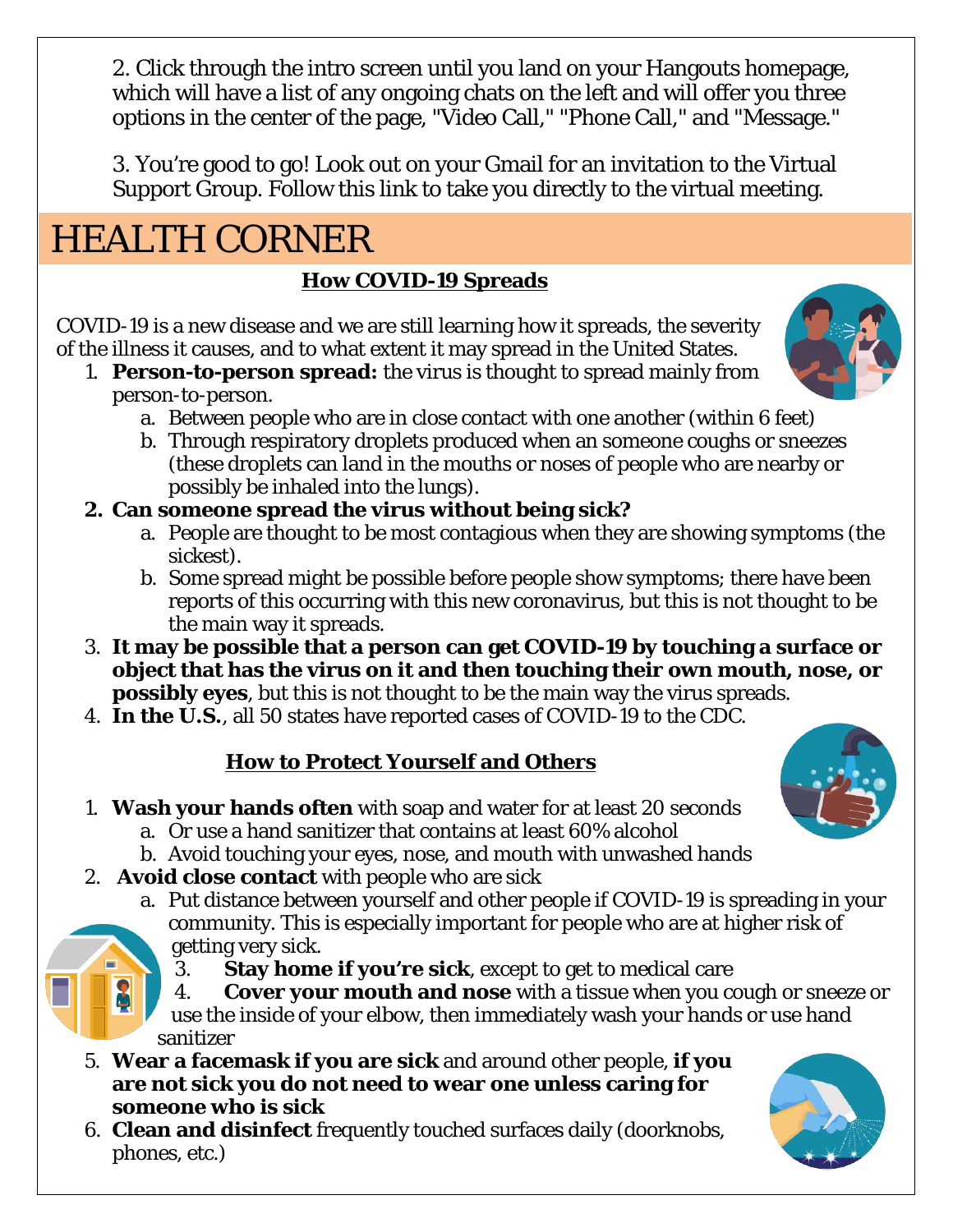2. Click through the intro screen until you land on your Hangouts homepage, which will have a list of any ongoing chats on the left and will offer you three options in the center of the page, "Video Call," "Phone Call," and "Message."

3. You're good to go! Look out on your Gmail for an invitation to the Virtual Support Group. Follow this link to take you directly to the virtual meeting.

# HEALTH CORNER

### **How COVID-19 Spreads**

COVID-19 is a new disease and we are still learning how it spreads, the severity of the illness it causes, and to what extent it may spread in the United States.

- 1. **Person-to-person spread:** the virus is thought to spread mainly from person-to-person.
	- a. Between people who are in close contact with one another (within 6 feet)
	- b. Through respiratory droplets produced when an someone coughs or sneezes (these droplets can land in the mouths or noses of people who are nearby or possibly be inhaled into the lungs).

### **2. Can someone spread the virus without being sick?**

- a. People are thought to be most contagious when they are showing symptoms (the sickest).
- b. Some spread might be possible before people show symptoms; there have been reports of this occurring with this new coronavirus, but this is not thought to be the main way it spreads.
- 3. **It may be possible that a person can get COVID-19 by touching a surface or object that has the virus on it and then touching their own mouth, nose, or possibly eyes**, but this is not thought to be the main way the virus spreads.
- 4. **In the U.S.**, all 50 states have reported cases of COVID-19 to the CDC.

### **How to Protect Yourself and Others**

- 1. **Wash your hands often** with soap and water for at least 20 seconds
	- a. Or use a hand sanitizer that contains at least 60% alcohol
	- b. Avoid touching your eyes, nose, and mouth with unwashed hands
- 2. **Avoid close contact** with people who are sick
	- a. Put distance between yourself and other people if COVID-19 is spreading in your community. This is especially important for people who are at higher risk of getting very sick.
		- 3. **Stay home if you're sick**, except to get to medical care
		- 4. **Cover your mouth and nose** with a tissue when you cough or sneeze or use the inside of your elbow, then immediately wash your hands or use hand sanitizer
- 5. **Wear a facemask if you are sick** and around other people, **if you are not sick you do not need to wear one unless caring for someone who is sick**
- 6. **Clean and disinfect** frequently touched surfaces daily (doorknobs, phones, etc.)